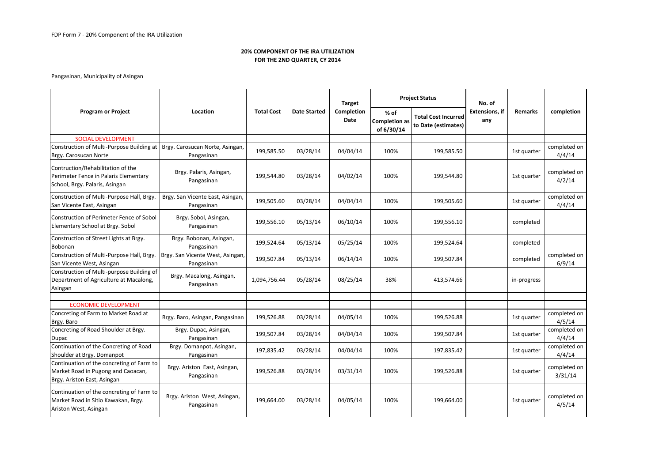## 20% COMPONENT OF THE IRA UTILIZATIONFOR THE 2ND QUARTER, CY 2014

## Pangasinan, Municipality of Asingan

| <b>Program or Project</b>                                                                                      | Location                                       | <b>Total Cost</b> | <b>Date Started</b> | Target<br>Completion<br><b>Date</b> | <b>Project Status</b>                      |                                                   | No. of                       |                |                         |
|----------------------------------------------------------------------------------------------------------------|------------------------------------------------|-------------------|---------------------|-------------------------------------|--------------------------------------------|---------------------------------------------------|------------------------------|----------------|-------------------------|
|                                                                                                                |                                                |                   |                     |                                     | % of<br><b>Completion as</b><br>of 6/30/14 | <b>Total Cost Incurred</b><br>to Date (estimates) | <b>Extensions, if</b><br>any | <b>Remarks</b> | completion              |
| <b>SOCIAL DEVELOPMENT</b>                                                                                      |                                                |                   |                     |                                     |                                            |                                                   |                              |                |                         |
| Construction of Multi-Purpose Building at   Brgy. Carosucan Norte, Asingan,<br>Brgy. Carosucan Norte           | Pangasinan                                     | 199,585.50        | 03/28/14            | 04/04/14                            | 100%                                       | 199,585.50                                        |                              | 1st quarter    | completed on<br>4/4/14  |
| Contruction/Rehabilitation of the<br>Perimeter Fence in Palaris Elementary<br>School, Brgy. Palaris, Asingan   | Brgy. Palaris, Asingan,<br>Pangasinan          | 199,544.80        | 03/28/14            | 04/02/14                            | 100%                                       | 199,544.80                                        |                              | 1st quarter    | completed on<br>4/2/14  |
| Construction of Multi-Purpose Hall, Brgy.<br>San Vicente East, Asingan                                         | Brgy. San Vicente East, Asingan,<br>Pangasinan | 199,505.60        | 03/28/14            | 04/04/14                            | 100%                                       | 199,505.60                                        |                              | 1st quarter    | completed on<br>4/4/14  |
| Construction of Perimeter Fence of Sobol<br>Elementary School at Brgy. Sobol                                   | Brgy. Sobol, Asingan,<br>Pangasinan            | 199,556.10        | 05/13/14            | 06/10/14                            | 100%                                       | 199,556.10                                        |                              | completed      |                         |
| Construction of Street Lights at Brgy.<br>Bobonan                                                              | Brgy. Bobonan, Asingan,<br>Pangasinan          | 199,524.64        | 05/13/14            | 05/25/14                            | 100%                                       | 199,524.64                                        |                              | completed      |                         |
| Construction of Multi-Purpose Hall, Brgy.<br>San Vicente West, Asingan                                         | Brgy. San Vicente West, Asingan,<br>Pangasinan | 199,507.84        | 05/13/14            | 06/14/14                            | 100%                                       | 199,507.84                                        |                              | completed      | completed on<br>6/9/14  |
| Construction of Multi-purpose Building of<br>Department of Agriculture at Macalong,<br>Asingan                 | Brgy. Macalong, Asingan,<br>Pangasinan         | 1,094,756.44      | 05/28/14            | 08/25/14                            | 38%                                        | 413,574.66                                        |                              | in-progress    |                         |
| <b>ECONOMIC DEVELOPMENT</b>                                                                                    |                                                |                   |                     |                                     |                                            |                                                   |                              |                |                         |
| Concreting of Farm to Market Road at<br>Brgy. Baro                                                             | Brgy. Baro, Asingan, Pangasinan                | 199,526.88        | 03/28/14            | 04/05/14                            | 100%                                       | 199,526.88                                        |                              | 1st quarter    | completed on<br>4/5/14  |
| Concreting of Road Shoulder at Brgy.<br>Dupac                                                                  | Brgy. Dupac, Asingan,<br>Pangasinan            | 199,507.84        | 03/28/14            | 04/04/14                            | 100%                                       | 199,507.84                                        |                              | 1st quarter    | completed on<br>4/4/14  |
| Continuation of the Concreting of Road<br>Shoulder at Brgy. Domanpot                                           | Brgy. Domanpot, Asingan,<br>Pangasinan         | 197,835.42        | 03/28/14            | 04/04/14                            | 100%                                       | 197,835.42                                        |                              | 1st quarter    | completed on<br>4/4/14  |
| Continuation of the concreting of Farm to<br>Market Road in Pugong and Caoacan,<br>Brgy. Ariston East, Asingan | Brgy. Ariston East, Asingan,<br>Pangasinan     | 199,526.88        | 03/28/14            | 03/31/14                            | 100%                                       | 199,526.88                                        |                              | 1st quarter    | completed on<br>3/31/14 |
| Continuation of the concreting of Farm to<br>Market Road in Sitio Kawakan, Brgy.<br>Ariston West, Asingan      | Brgy. Ariston West, Asingan,<br>Pangasinan     | 199,664.00        | 03/28/14            | 04/05/14                            | 100%                                       | 199,664.00                                        |                              | 1st quarter    | completed on<br>4/5/14  |